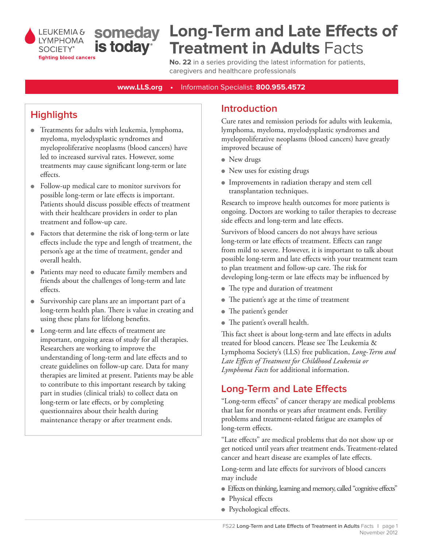

# **Long-Term and Late Effects of Treatment in Adults** Facts

**No. 22** in a series providing the latest information for patients, caregivers and healthcare professionals

**www.LLS.org •** Information Specialist: **800.955.4572**

## **Highlights**

- Treatments for adults with leukemia, lymphoma, myeloma, myelodysplastic syndromes and myeloproliferative neoplasms (blood cancers) have led to increased survival rates. However, some treatments may cause significant long-term or late effects.
- Follow-up medical care to monitor survivors for possible long-term or late effects is important. Patients should discuss possible effects of treatment with their healthcare providers in order to plan treatment and follow-up care.
- Factors that determine the risk of long-term or late effects include the type and length of treatment, the person's age at the time of treatment, gender and overall health.
- Patients may need to educate family members and friends about the challenges of long-term and late effects.
- Survivorship care plans are an important part of a long-term health plan. There is value in creating and using these plans for lifelong benefits.
- Long-term and late effects of treatment are important, ongoing areas of study for all therapies. Researchers are working to improve the understanding of long-term and late effects and to create guidelines on follow-up care. Data for many therapies are limited at present. Patients may be able to contribute to this important research by taking part in studies (clinical trials) to collect data on long-term or late effects, or by completing questionnaires about their health during maintenance therapy or after treatment ends.

### **Introduction**

Cure rates and remission periods for adults with leukemia, lymphoma, myeloma, myelodysplastic syndromes and myeloproliferative neoplasms (blood cancers) have greatly improved because of

- $\bullet$  New drugs
- New uses for existing drugs
- **Improvements in radiation therapy and stem cell** transplantation techniques.

Research to improve health outcomes for more patients is ongoing. Doctors are working to tailor therapies to decrease side effects and long-term and late effects.

Survivors of blood cancers do not always have serious long-term or late effects of treatment. Effects can range from mild to severe. However, it is important to talk about possible long-term and late effects with your treatment team to plan treatment and follow-up care. The risk for developing long-term or late effects may be influenced by

- The type and duration of treatment
- The patient's age at the time of treatment
- The patient's gender
- The patient's overall health.

This fact sheet is about long-term and late effects in adults treated for blood cancers. Please see The Leukemia & Lymphoma Society's (LLS) free publication, *Long-Term and Late Effects of Treatment for Childhood Leukemia or Lymphoma Facts* for additional information.

### **Long-Term and Late Effects**

"Long-term effects" of cancer therapy are medical problems that last for months or years after treatment ends. Fertility problems and treatment-related fatigue are examples of long-term effects.

"Late effects" are medical problems that do not show up or get noticed until years after treatment ends. Treatment-related cancer and heart disease are examples of late effects.

Long-term and late effects for survivors of blood cancers may include

- Effects on thinking, learning and memory, called "cognitive effects"
- Physical effects
- Psychological effects.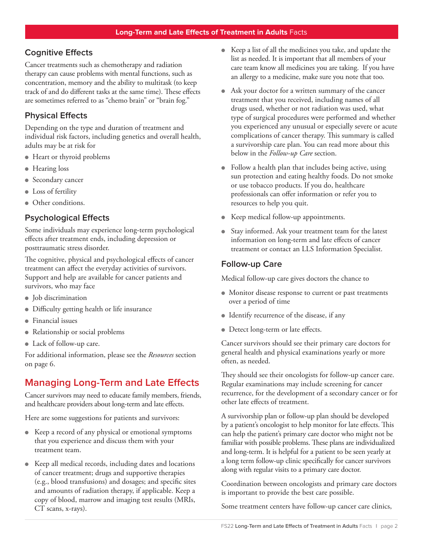### **Cognitive Effects**

Cancer treatments such as chemotherapy and radiation therapy can cause problems with mental functions, such as concentration, memory and the ability to multitask (to keep track of and do different tasks at the same time). These effects are sometimes referred to as "chemo brain" or "brain fog."

### **Physical Effects**

Depending on the type and duration of treatment and individual risk factors, including genetics and overall health, adults may be at risk for

- Heart or thyroid problems
- Hearing loss
- Secondary cancer
- Loss of fertility
- Other conditions.

#### **Psychological Effects**

Some individuals may experience long-term psychological effects after treatment ends, including depression or posttraumatic stress disorder.

The cognitive, physical and psychological effects of cancer treatment can affect the everyday activities of survivors. Support and help are available for cancer patients and survivors, who may face

- Job discrimination
- Difficulty getting health or life insurance
- $\bullet$  Financial issues
- Relationship or social problems
- Lack of follow-up care.

For additional information, please see the *Resources* section on page 6.

### **Managing Long-Term and Late Effects**

Cancer survivors may need to educate family members, friends, and healthcare providers about long-term and late effects.

Here are some suggestions for patients and survivors:

- Keep a record of any physical or emotional symptoms that you experience and discuss them with your treatment team.
- Keep all medical records, including dates and locations of cancer treatment; drugs and supportive therapies (e.g., blood transfusions) and dosages; and specific sites and amounts of radiation therapy, if applicable. Keep a copy of blood, marrow and imaging test results (MRIs, CT scans, x-rays).
- Keep a list of all the medicines you take, and update the list as needed. It is important that all members of your care team know all medicines you are taking. If you have an allergy to a medicine, make sure you note that too.
- Ask your doctor for a written summary of the cancer treatment that you received, including names of all drugs used, whether or not radiation was used, what type of surgical procedures were performed and whether you experienced any unusual or especially severe or acute complications of cancer therapy. This summary is called a survivorship care plan. You can read more about this below in the *Follow-up Care* section.
- Follow a health plan that includes being active, using sun protection and eating healthy foods. Do not smoke or use tobacco products. If you do, healthcare professionals can offer information or refer you to resources to help you quit.
- Keep medical follow-up appointments.
- Stay informed. Ask your treatment team for the latest information on long-term and late effects of cancer treatment or contact an LLS Information Specialist.

### **Follow-up Care**

Medical follow-up care gives doctors the chance to

- Monitor disease response to current or past treatments over a period of time
- Identify recurrence of the disease, if any
- Detect long-term or late effects.

Cancer survivors should see their primary care doctors for general health and physical examinations yearly or more often, as needed.

They should see their oncologists for follow-up cancer care. Regular examinations may include screening for cancer recurrence, for the development of a secondary cancer or for other late effects of treatment.

A survivorship plan or follow-up plan should be developed by a patient's oncologist to help monitor for late effects. This can help the patient's primary care doctor who might not be familiar with possible problems. These plans are individualized and long-term. It is helpful for a patient to be seen yearly at a long term follow-up clinic specifically for cancer survivors along with regular visits to a primary care doctor.

Coordination between oncologists and primary care doctors is important to provide the best care possible.

Some treatment centers have follow-up cancer care clinics,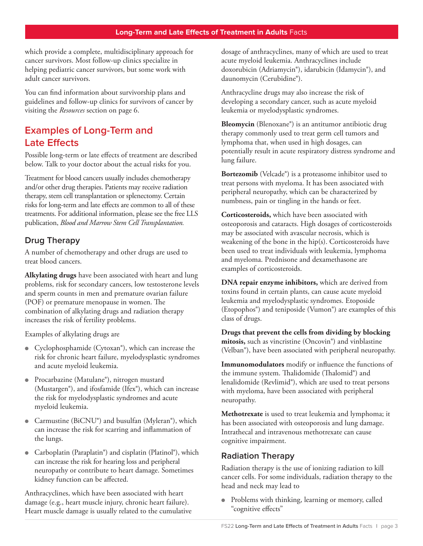which provide a complete, multidisciplinary approach for cancer survivors. Most follow-up clinics specialize in helping pediatric cancer survivors, but some work with adult cancer survivors.

You can find information about survivorship plans and guidelines and follow-up clinics for survivors of cancer by visiting the *Resources* section on page 6.

### **Examples of Long-Term and Late Effects**

Possible long-term or late effects of treatment are described below. Talk to your doctor about the actual risks for you.

Treatment for blood cancers usually includes chemotherapy and/or other drug therapies. Patients may receive radiation therapy, stem cell transplantation or splenectomy. Certain risks for long-term and late effects are common to all of these treatments. For additional information, please see the free LLS publication, *Blood and Marrow Stem Cell Transplantation.*

### **Drug Therapy**

A number of chemotherapy and other drugs are used to treat blood cancers.

**Alkylating drugs** have been associated with heart and lung problems, risk for secondary cancers, low testosterone levels and sperm counts in men and premature ovarian failure (POF) or premature menopause in women. The combination of alkylating drugs and radiation therapy increases the risk of fertility problems.

Examples of alkylating drugs are

- **•** Cyclophosphamide (Cytoxan®), which can increase the risk for chronic heart failure, myelodysplastic syndromes and acute myeloid leukemia.
- Procarbazine (Matulane®), nitrogen mustard (Mustargen®), and ifosfamide (Ifex®), which can increase the risk for myelodysplastic syndromes and acute myeloid leukemia.
- **•** Carmustine (BiCNU®) and busulfan (Myleran®), which can increase the risk for scarring and inflammation of the lungs.
- Carboplatin (Paraplatin®) and cisplatin (Platinol®), which can increase the risk for hearing loss and peripheral neuropathy or contribute to heart damage. Sometimes kidney function can be affected.

Anthracyclines, which have been associated with heart damage (e.g., heart muscle injury, chronic heart failure). Heart muscle damage is usually related to the cumulative dosage of anthracyclines, many of which are used to treat acute myeloid leukemia. Anthracyclines include doxorubicin (Adriamycin®), idarubicin (Idamycin®), and daunomycin (Cerubidine®).

Anthracycline drugs may also increase the risk of developing a secondary cancer, such as acute myeloid leukemia or myelodysplastic syndromes.

**Bleomycin** (Blenoxane®) is an antitumor antibiotic drug therapy commonly used to treat germ cell tumors and lymphoma that, when used in high dosages, can potentially result in acute respiratory distress syndrome and lung failure.

**Bortezomib** (Velcade®) is a proteasome inhibitor used to treat persons with myeloma. It has been associated with peripheral neuropathy, which can be characterized by numbness, pain or tingling in the hands or feet.

**Corticosteroids,** which have been associated with osteoporosis and cataracts. High dosages of corticosteroids may be associated with avascular necrosis, which is weakening of the bone in the hip(s). Corticosteroids have been used to treat individuals with leukemia, lymphoma and myeloma. Prednisone and dexamethasone are examples of corticosteroids.

**DNA repair enzyme inhibitors,** which are derived from toxins found in certain plants, can cause acute myeloid leukemia and myelodysplastic syndromes. Etoposide (Etopophos®) and teniposide (Vumon®) are examples of this class of drugs.

**Drugs that prevent the cells from dividing by blocking mitosis,** such as vincristine (Oncovin®) and vinblastine (Velban®), have been associated with peripheral neuropathy.

**Immunomodulators** modify or influence the functions of the immune system. Thalidomide (Thalomid®) and lenalidomide (Revlimid®), which are used to treat persons with myeloma, have been associated with peripheral neuropathy.

**Methotrexate** is used to treat leukemia and lymphoma; it has been associated with osteoporosis and lung damage. Intrathecal and intravenous methotrexate can cause cognitive impairment.

### **Radiation Therapy**

Radiation therapy is the use of ionizing radiation to kill cancer cells. For some individuals, radiation therapy to the head and neck may lead to

• Problems with thinking, learning or memory, called "cognitive effects"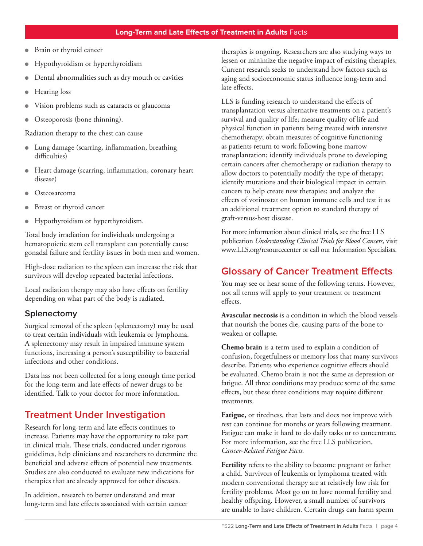- Brain or thyroid cancer
- <sup>l</sup> Hypothyroidism or hyperthyroidism
- Dental abnormalities such as dry mouth or cavities
- <sup>l</sup> Hearing loss
- Vision problems such as cataracts or glaucoma
- Osteoporosis (bone thinning).

Radiation therapy to the chest can cause

- Lung damage (scarring, inflammation, breathing difficulties)
- **IF** Heart damage (scarring, inflammation, coronary heart disease)
- **Osteosarcoma**
- Breast or thyroid cancer
- <sup>l</sup> Hypothyroidism or hyperthyroidism.

Total body irradiation for individuals undergoing a hematopoietic stem cell transplant can potentially cause gonadal failure and fertility issues in both men and women.

High-dose radiation to the spleen can increase the risk that survivors will develop repeated bacterial infections.

Local radiation therapy may also have effects on fertility depending on what part of the body is radiated.

#### **Splenectomy**

Surgical removal of the spleen (splenectomy) may be used to treat certain individuals with leukemia or lymphoma. A splenectomy may result in impaired immune system functions, increasing a person's susceptibility to bacterial infections and other conditions.

Data has not been collected for a long enough time period for the long-term and late effects of newer drugs to be identified. Talk to your doctor for more information.

### **Treatment Under Investigation**

Research for long-term and late effects continues to increase. Patients may have the opportunity to take part in clinical trials. These trials, conducted under rigorous guidelines, help clinicians and researchers to determine the beneficial and adverse effects of potential new treatments. Studies are also conducted to evaluate new indications for therapies that are already approved for other diseases.

In addition, research to better understand and treat long-term and late effects associated with certain cancer therapies is ongoing. Researchers are also studying ways to lessen or minimize the negative impact of existing therapies. Current research seeks to understand how factors such as aging and socioeconomic status influence long-term and late effects.

LLS is funding research to understand the effects of transplantation versus alternative treatments on a patient's survival and quality of life; measure quality of life and physical function in patients being treated with intensive chemotherapy; obtain measures of cognitive functioning as patients return to work following bone marrow transplantation; identify individuals prone to developing certain cancers after chemotherapy or radiation therapy to allow doctors to potentially modify the type of therapy; identify mutations and their biological impact in certain cancers to help create new therapies; and analyze the effects of vorinostat on human immune cells and test it as an additional treatment option to standard therapy of graft-versus-host disease.

For more information about clinical trials, see the free LLS publication *Understanding Clinical Trials for Blood Cancers,* visit www.LLS.org/resourcecenter or call our Information Specialists.

### **Glossary of Cancer Treatment Effects**

You may see or hear some of the following terms. However, not all terms will apply to your treatment or treatment effects.

**Avascular necrosis** is a condition in which the blood vessels that nourish the bones die, causing parts of the bone to weaken or collapse.

**Chemo brain** is a term used to explain a condition of confusion, forgetfulness or memory loss that many survivors describe. Patients who experience cognitive effects should be evaluated. Chemo brain is not the same as depression or fatigue. All three conditions may produce some of the same effects, but these three conditions may require different treatments.

**Fatigue,** or tiredness, that lasts and does not improve with rest can continue for months or years following treatment. Fatigue can make it hard to do daily tasks or to concentrate. For more information, see the free LLS publication, *Cancer-Related Fatigue Facts.*

**Fertility** refers to the ability to become pregnant or father a child. Survivors of leukemia or lymphoma treated with modern conventional therapy are at relatively low risk for fertility problems. Most go on to have normal fertility and healthy offspring. However, a small number of survivors are unable to have children. Certain drugs can harm sperm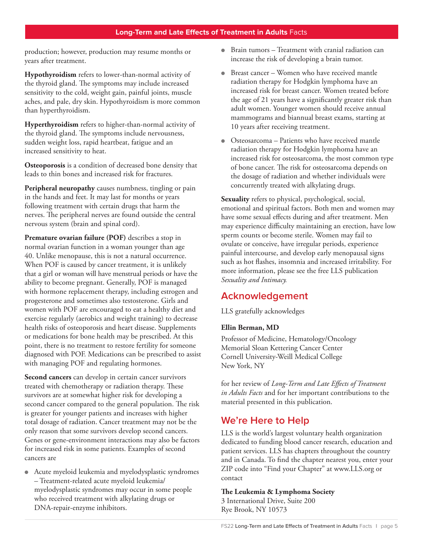production; however, production may resume months or years after treatment.

**Hypothyroidism** refers to lower-than-normal activity of the thyroid gland. The symptoms may include increased sensitivity to the cold, weight gain, painful joints, muscle aches, and pale, dry skin. Hypothyroidism is more common than hyperthyroidism.

**Hyperthyroidism** refers to higher-than-normal activity of the thyroid gland. The symptoms include nervousness, sudden weight loss, rapid heartbeat, fatigue and an increased sensitivity to heat.

**Osteoporosis** is a condition of decreased bone density that leads to thin bones and increased risk for fractures.

**Peripheral neuropathy** causes numbness, tingling or pain in the hands and feet. It may last for months or years following treatment with certain drugs that harm the nerves. The peripheral nerves are found outside the central nervous system (brain and spinal cord).

**Premature ovarian failure (POF)** describes a stop in normal ovarian function in a woman younger than age 40. Unlike menopause, this is not a natural occurrence. When POF is caused by cancer treatment, it is unlikely that a girl or woman will have menstrual periods or have the ability to become pregnant. Generally, POF is managed with hormone replacement therapy, including estrogen and progesterone and sometimes also testosterone. Girls and women with POF are encouraged to eat a healthy diet and exercise regularly (aerobics and weight training) to decrease health risks of osteoporosis and heart disease. Supplements or medications for bone health may be prescribed. At this point, there is no treatment to restore fertility for someone diagnosed with POF. Medications can be prescribed to assist with managing POF and regulating hormones.

**Second cancers** can develop in certain cancer survivors treated with chemotherapy or radiation therapy. These survivors are at somewhat higher risk for developing a second cancer compared to the general population. The risk is greater for younger patients and increases with higher total dosage of radiation. Cancer treatment may not be the only reason that some survivors develop second cancers. Genes or gene-environment interactions may also be factors for increased risk in some patients. Examples of second cancers are

• Acute myeloid leukemia and myelodysplastic syndromes – Treatment-related acute myeloid leukemia/ myelodysplastic syndromes may occur in some people who received treatment with alkylating drugs or DNA-repair-enzyme inhibitors.

- $\bullet$  Brain tumors Treatment with cranial radiation can increase the risk of developing a brain tumor.
- Breast cancer Women who have received mantle radiation therapy for Hodgkin lymphoma have an increased risk for breast cancer. Women treated before the age of 21 years have a significantly greater risk than adult women. Younger women should receive annual mammograms and biannual breast exams, starting at 10 years after receiving treatment.
- **•** Osteosarcoma Patients who have received mantle radiation therapy for Hodgkin lymphoma have an increased risk for osteosarcoma, the most common type of bone cancer. The risk for osteosarcoma depends on the dosage of radiation and whether individuals were concurrently treated with alkylating drugs.

**Sexuality** refers to physical, psychological, social, emotional and spiritual factors. Both men and women may have some sexual effects during and after treatment. Men may experience difficulty maintaining an erection, have low sperm counts or become sterile. Women may fail to ovulate or conceive, have irregular periods, experience painful intercourse, and develop early menopausal signs such as hot flashes, insomnia and increased irritability. For more information, please see the free LLS publication *Sexuality and Intimacy.*

### **Acknowledgement**

LLS gratefully acknowledges

#### **Ellin Berman, MD**

Professor of Medicine, Hematology/Oncology Memorial Sloan Kettering Cancer Center Cornell University-Weill Medical College New York, NY

for her review of *Long-Term and Late Effects of Treatment in Adults Facts* and for her important contributions to the material presented in this publication.

### **We're Here to Help**

LLS is the world's largest voluntary health organization dedicated to funding blood cancer research, education and patient services. LLS has chapters throughout the country and in Canada. To find the chapter nearest you, enter your ZIP code into "Find your Chapter" at www.LLS.org or contact

**The Leukemia & Lymphoma Society** 3 International Drive, Suite 200 Rye Brook, NY 10573